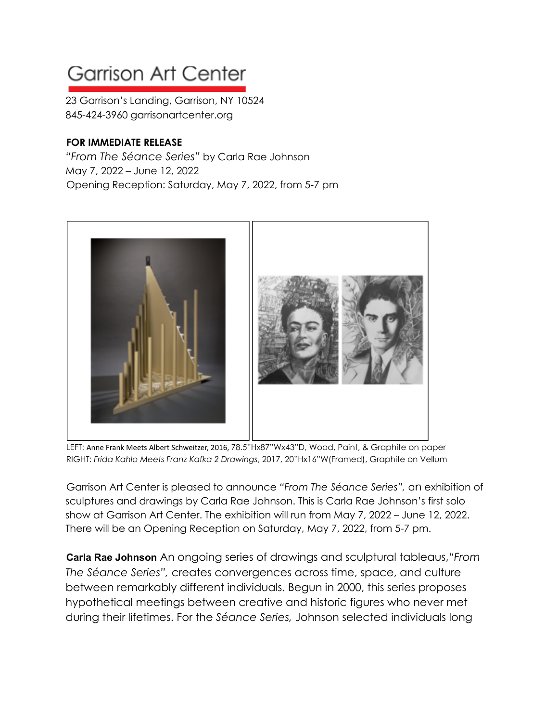## **Garrison Art Center**

23 Garrison's Landing, Garrison, NY 10524 845-424-3960 garrisonartcenter.org

## **FOR IMMEDIATE RELEASE**

*"From The Séance Series"* by Carla Rae Johnson May 7, 2022 – June 12, 2022 Opening Reception: Saturday, May 7, 2022, from 5-7 pm



LEFT: Anne Frank Meets Albert Schweitzer, 2016, 78.5"Hx87"Wx43"D, Wood, Paint, & Graphite on paper RIGHT: *Frida Kahlo Meets Franz Kafka 2 Drawings*, 2017, 20"Hx16"W(Framed), Graphite on Vellum

Garrison Art Center is pleased to announce *"From The Séance Series",* an exhibition of sculptures and drawings by Carla Rae Johnson. This is Carla Rae Johnson's first solo show at Garrison Art Center. The exhibition will run from May 7, 2022 – June 12, 2022. There will be an Opening Reception on Saturday, May 7, 2022, from 5-7 pm.

**Carla Rae Johnson** An ongoing series of drawings and sculptural tableaus,*"From The Séance Series",* creates convergences across time, space, and culture between remarkably different individuals. Begun in 2000, this series proposes hypothetical meetings between creative and historic figures who never met during their lifetimes. For the *Séance Series,* Johnson selected individuals long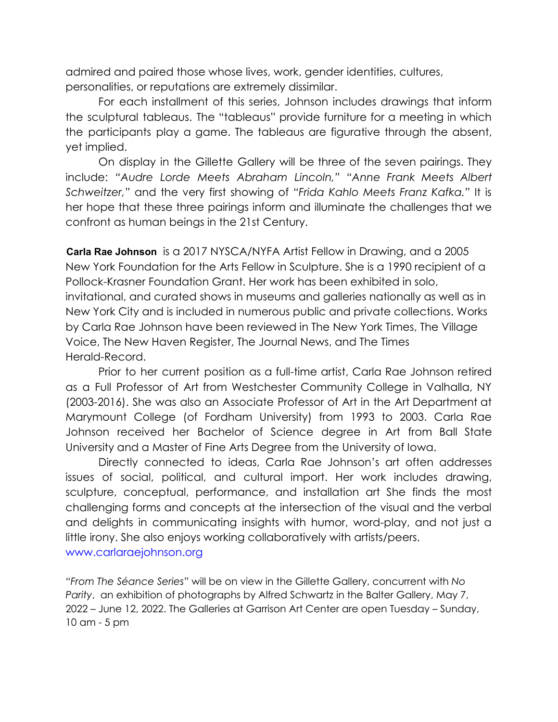admired and paired those whose lives, work, gender identities, cultures, personalities, or reputations are extremely dissimilar.

For each installment of this series, Johnson includes drawings that inform the sculptural tableaus. The "tableaus" provide furniture for a meeting in which the participants play a game. The tableaus are figurative through the absent, yet implied.

On display in the Gillette Gallery will be three of the seven pairings. They include: *"Audre Lorde Meets Abraham Lincoln," "Anne Frank Meets Albert Schweitzer,"* and the very first showing of *"Frida Kahlo Meets Franz Kafka."* It is her hope that these three pairings inform and illuminate the challenges that we confront as human beings in the 21st Century.

**Carla Rae Johnson** is a 2017 NYSCA/NYFA Artist Fellow in Drawing, and a 2005 New York Foundation for the Arts Fellow in Sculpture. She is a 1990 recipient of a Pollock-Krasner Foundation Grant. Her work has been exhibited in solo, invitational, and curated shows in museums and galleries nationally as well as in New York City and is included in numerous public and private collections. Works by Carla Rae Johnson have been reviewed in The New York Times, The Village Voice, The New Haven Register, The Journal News, and The Times Herald-Record.

Prior to her current position as a full-time artist, Carla Rae Johnson retired as a Full Professor of Art from Westchester Community College in Valhalla, NY (2003-2016). She was also an Associate Professor of Art in the Art Department at Marymount College (of Fordham University) from 1993 to 2003. Carla Rae Johnson received her Bachelor of Science degree in Art from Ball State University and a Master of Fine Arts Degree from the University of Iowa.

Directly connected to ideas, Carla Rae Johnson's art often addresses issues of social, political, and cultural import. Her work includes drawing, sculpture, conceptual, performance, and installation art She finds the most challenging forms and concepts at the intersection of the visual and the verbal and delights in communicating insights with humor, word-play, and not just a little irony. She also enjoys working collaboratively with artists/peers. [www.carlaraejohnson.org](https://r20.rs6.net/tn.jsp?f=0019ruFu6ZMOXK5VGirnooYL77GRt15_Rph3D11GX9R_4IGj8e1ZCh-jIt8uxpNlVLR_NFuAe43Nc6JtmLRIXjpOrSv63mSug6wa_L4sVA-Si_wIbKD7O_WfPWKdHvKwI0t_zhHZFXnYeKOpY-6JVOy5vwu5t_RTdUn&c=bU0OVBHuL0-I_2AQQ6TXJhDlQLJrK_8KAKm5esgZpJVJ5IHC-3x06w==&ch=T1Ze4Zmb1acMRiH5lnvug2koPpbG93l3wcyzmqtDAWy6ReXaBfN1bQ==)

*"From The Séance Series"* will be on view in the Gillette Gallery, concurrent with *No Parity*, an exhibition of photographs by Alfred Schwartz in the Balter Gallery, May 7, 2022 – June 12, 2022. The Galleries at Garrison Art Center are open Tuesday – Sunday, 10 am - 5 pm